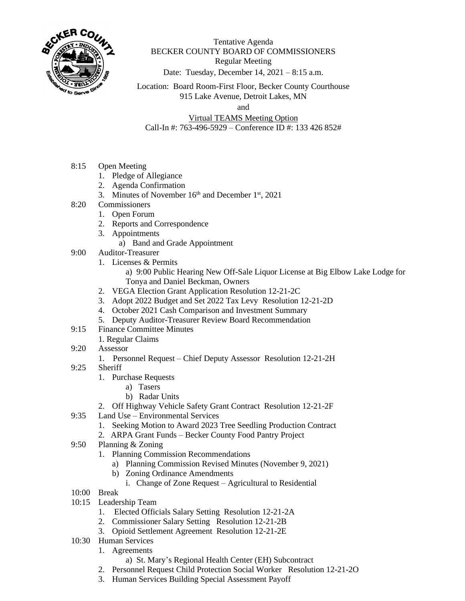

Tentative Agenda BECKER COUNTY BOARD OF COMMISSIONERS Regular Meeting Date: Tuesday, December 14, 2021 – 8:15 a.m.

Location: Board Room-First Floor, Becker County Courthouse 915 Lake Avenue, Detroit Lakes, MN

and

Virtual TEAMS Meeting Option Call-In #: 763-496-5929 – Conference ID #: 133 426 852#

- 8:15 Open Meeting
	- 1. Pledge of Allegiance
	- 2. Agenda Confirmation
	- 3. Minutes of November  $16<sup>th</sup>$  and December  $1<sup>st</sup>$ , 2021
- 8:20 Commissioners
	- 1. Open Forum
	- 2. Reports and Correspondence
	- 3. Appointments
		- a) Band and Grade Appointment
- 9:00 Auditor-Treasurer
	- 1. Licenses & Permits
		- a) 9:00 Public Hearing New Off-Sale Liquor License at Big Elbow Lake Lodge for Tonya and Daniel Beckman, Owners
	- 2. VEGA Election Grant Application Resolution 12-21-2C
	- 3. Adopt 2022 Budget and Set 2022 Tax Levy Resolution 12-21-2D
	- 4. October 2021 Cash Comparison and Investment Summary
	- 5. Deputy Auditor-Treasurer Review Board Recommendation
- 9:15 Finance Committee Minutes
	- 1. Regular Claims
- 9:20 Assessor
	- 1. Personnel Request Chief Deputy Assessor Resolution 12-21-2H
- 9:25 Sheriff
	- 1. Purchase Requests
		- a) Tasers
		- b) Radar Units
	- 2. Off Highway Vehicle Safety Grant Contract Resolution 12-21-2F
- 9:35 Land Use Environmental Services
	- 1. Seeking Motion to Award 2023 Tree Seedling Production Contract
	- 2. ARPA Grant Funds Becker County Food Pantry Project
- 9:50 Planning & Zoning
	- 1. Planning Commission Recommendations
		- a) Planning Commission Revised Minutes (November 9, 2021)
		- b) Zoning Ordinance Amendments
			- i. Change of Zone Request Agricultural to Residential
- 10:00 Break
- 10:15 Leadership Team
	- 1. Elected Officials Salary Setting Resolution 12-21-2A
	- 2. Commissioner Salary Setting Resolution 12-21-2B
	- 3. Opioid Settlement Agreement Resolution 12-21-2E
- 10:30 Human Services
	- 1. Agreements
		- a) St. Mary's Regional Health Center (EH) Subcontract
	- 2. Personnel Request Child Protection Social Worker Resolution 12-21-2O
	- 3. Human Services Building Special Assessment Payoff